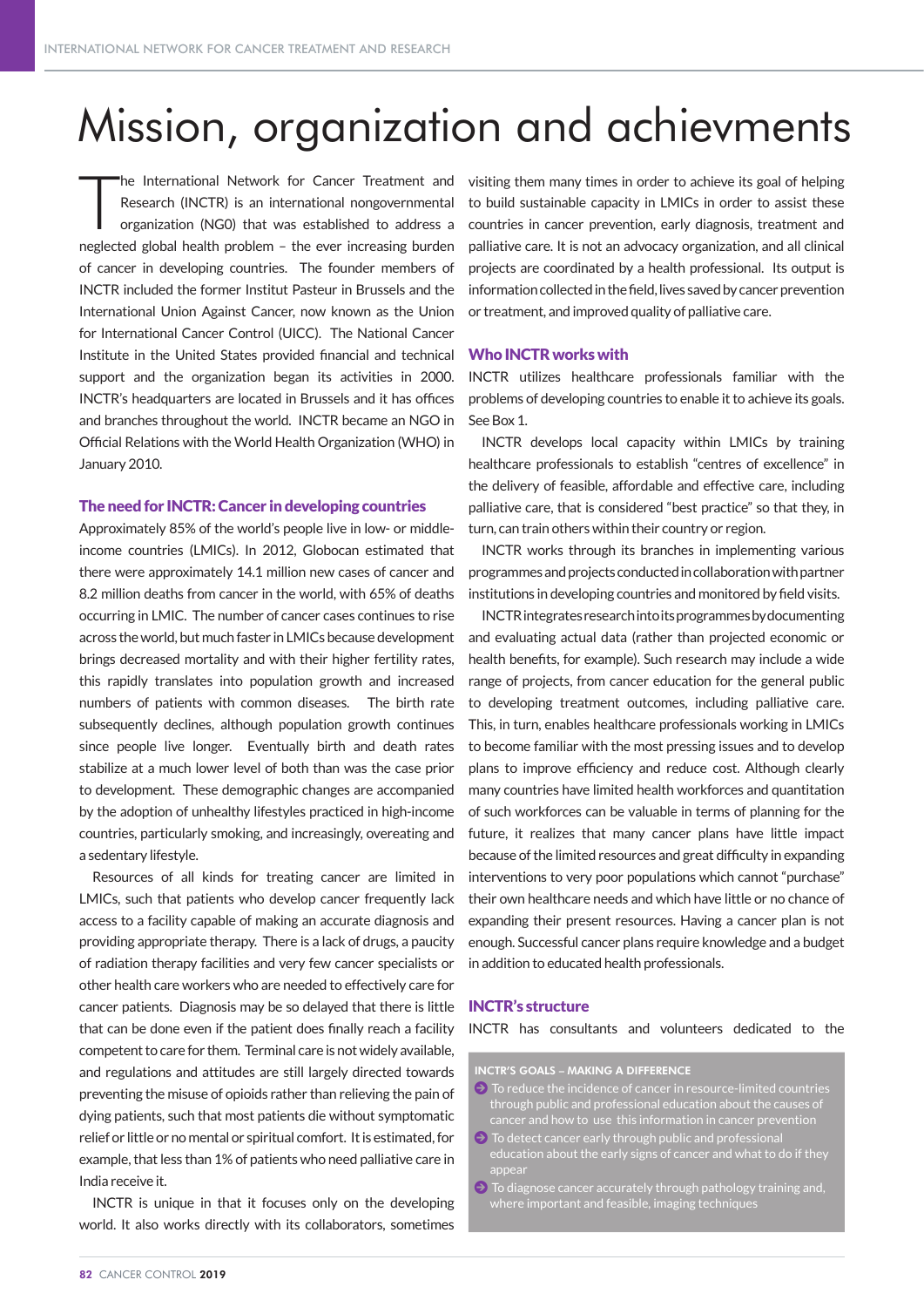# Mission, organization and achievments

T he International Network for Cancer Treatment and Research (INCTR) is an international nongovernmental organization (NG0) that was established to address a neglected global health problem – the ever increasing burden of cancer in developing countries. The founder members of INCTR included the former Institut Pasteur in Brussels and the International Union Against Cancer, now known as the Union for International Cancer Control (UICC). The National Cancer Institute in the United States provided financial and technical support and the organization began its activities in 2000. INCTR's headquarters are located in Brussels and it has offices and branches throughout the world. INCTR became an NGO in Official Relations with the World Health Organization (WHO) in January 2010.

### The need for INCTR: Cancer in developing countries

Approximately 85% of the world's people live in low- or middleincome countries (LMICs). In 2012, Globocan estimated that there were approximately 14.1 million new cases of cancer and 8.2 million deaths from cancer in the world, with 65% of deaths occurring in LMIC. The number of cancer cases continues to rise across the world, but much faster in LMICs because development brings decreased mortality and with their higher fertility rates, this rapidly translates into population growth and increased numbers of patients with common diseases. The birth rate subsequently declines, although population growth continues since people live longer. Eventually birth and death rates stabilize at a much lower level of both than was the case prior to development. These demographic changes are accompanied by the adoption of unhealthy lifestyles practiced in high-income countries, particularly smoking, and increasingly, overeating and a sedentary lifestyle.

Resources of all kinds for treating cancer are limited in LMICs, such that patients who develop cancer frequently lack access to a facility capable of making an accurate diagnosis and providing appropriate therapy. There is a lack of drugs, a paucity of radiation therapy facilities and very few cancer specialists or other health care workers who are needed to effectively care for cancer patients. Diagnosis may be so delayed that there is little that can be done even if the patient does finally reach a facility competent to care for them. Terminal care is not widely available, and regulations and attitudes are still largely directed towards preventing the misuse of opioids rather than relieving the pain of dying patients, such that most patients die without symptomatic relief or little or no mental or spiritual comfort. It is estimated, for example, that less than 1% of patients who need palliative care in India receive it.

INCTR is unique in that it focuses only on the developing world. It also works directly with its collaborators, sometimes visiting them many times in order to achieve its goal of helping to build sustainable capacity in LMICs in order to assist these countries in cancer prevention, early diagnosis, treatment and palliative care. It is not an advocacy organization, and all clinical projects are coordinated by a health professional. Its output is information collected in the field, lives saved by cancer prevention or treatment, and improved quality of palliative care.

### Who INCTR works with

INCTR utilizes healthcare professionals familiar with the problems of developing countries to enable it to achieve its goals. See Box 1.

INCTR develops local capacity within LMICs by training healthcare professionals to establish "centres of excellence" in the delivery of feasible, affordable and effective care, including palliative care, that is considered "best practice" so that they, in turn, can train others within their country or region.

INCTR works through its branches in implementing various programmes and projects conducted in collaboration with partner institutions in developing countries and monitored by field visits.

INCTR integrates research into its programmes by documenting and evaluating actual data (rather than projected economic or health benefits, for example). Such research may include a wide range of projects, from cancer education for the general public to developing treatment outcomes, including palliative care. This, in turn, enables healthcare professionals working in LMICs to become familiar with the most pressing issues and to develop plans to improve efficiency and reduce cost. Although clearly many countries have limited health workforces and quantitation of such workforces can be valuable in terms of planning for the future, it realizes that many cancer plans have little impact because of the limited resources and great difficulty in expanding interventions to very poor populations which cannot "purchase" their own healthcare needs and which have little or no chance of expanding their present resources. Having a cancer plan is not enough. Successful cancer plans require knowledge and a budget in addition to educated health professionals.

### INCTR's structure

INCTR has consultants and volunteers dedicated to the

INCTR'S GOALS – MAKING A DIFFERENCE

- $\Theta$  To reduce the incidence of cancer in resource-limited countries through public and professional education about the causes of
- $\Theta$  To detect cancer early through public and professional education about the early signs of cancer and what to do if they appear
- $\Theta$  To diagnose cancer accurately through pathology training and, where important and feasible, imaging techniques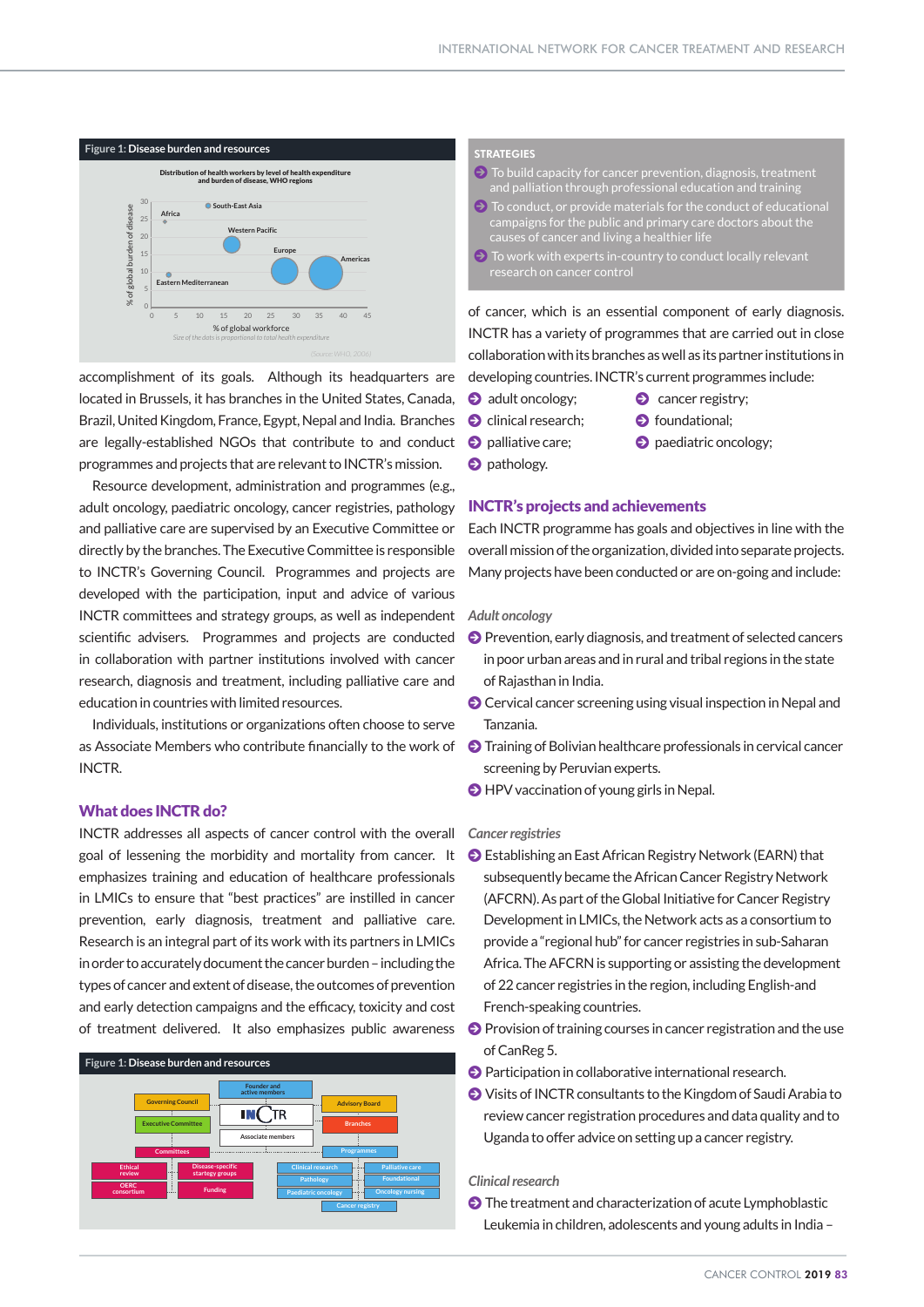

accomplishment of its goals. Although its headquarters are located in Brussels, it has branches in the United States, Canada, Brazil, United Kingdom, France, Egypt, Nepal and India. Branches are legally-established NGOs that contribute to and conduct programmes and projects that are relevant to INCTR's mission.

Resource development, administration and programmes (e.g., adult oncology, paediatric oncology, cancer registries, pathology and palliative care are supervised by an Executive Committee or directly by the branches. The Executive Committee is responsible to INCTR's Governing Council. Programmes and projects are developed with the participation, input and advice of various INCTR committees and strategy groups, as well as independent scientific advisers. Programmes and projects are conducted in collaboration with partner institutions involved with cancer research, diagnosis and treatment, including palliative care and education in countries with limited resources. *Lyon, France: International Agency for Research on Cancer; 2010. Available from: http://globocan.iarc.fr Accessed: 8 March 2013.*

> Individuals, institutions or organizations often choose to serve as Associate Members who contribute financially to the work of INCTR.

### What does INCTR do?

INCTR addresses all aspects of cancer control with the overall goal of lessening the morbidity and mortality from cancer. It emphasizes training and education of healthcare professionals in LMICs to ensure that "best practices" are instilled in cancer prevention, early diagnosis, treatment and palliative care. Research is an integral part of its work with its partners in LMICs in order to accurately document the cancer burden – including the types of cancer and extent of disease, the outcomes of prevention and early detection campaigns and the efficacy, toxicity and cost of treatment delivered. It also emphasizes public awareness



 $\Theta$  To build capacity for cancer prevention, diagnosis, treatment and palliation through professional education and training

- $\Theta$  To conduct, or provide materials for the conduct of educational campaigns for the public and primary care doctors about the causes of cancer and living a healthier life
- $\Theta$  To work with experts in-country to conduct locally relevant research on cancer control

of cancer, which is an essential component of early diagnosis. INCTR has a variety of programmes that are carried out in close collaboration with its branches as well as its partner institutions in developing countries. INCTR's current programmes include:

- **2** adult oncology;
- $\bullet$  cancer registry;
- $\bullet$  clinical research;  $\bullet$  foundational;
- 
- **O** palliative care; **J** paediatric oncology;
- $\bullet$  pathology.

### **INCTR's projects and achievements**

Each INCTR programme has goals and objectives in line with the overall mission of the organization, divided into separate projects. Many projects have been conducted or are on-going and include:

### $A$ dult oncology

- Prevention, early diagnosis, and treatment of selected cancers in poor urban areas and in rural and tribal regions in the state of Rajasthan in India.
- O Cervical cancer screening using visual inspection in Nepal and Tanzania.
- $\Theta$  Training of Bolivian healthcare professionals in cervical cancer screening by Peruvian experts.
- $\Theta$  HPV vaccination of young girls in Nepal.

### $C$ *ancer registries*

- $\odot$  Establishing an East African Registry Network (EARN) that subsequently became the African Cancer Registry Network (AFCRN). As part of the Global Initiative for Cancer Registry Development in LMICs, the Network acts as a consortium to provide a "regional hub" for cancer registries in sub-Saharan Africa. The AFCRN is supporting or assisting the development of 22 cancer registries in the region, including English-and French-speaking countries. ;<br>6 rogion includin
- **O** Provision of training courses in cancer registration and the use of CanReg 5. **A** Provision of training courses in cancer registr *(Source: GLOBOCAN 2008 (IARC) (16.4.2012)*
- **2** Participation in collaborative international research.
- $\bullet$  Visits of INCTR consultants to the Kingdom of Saudi Arabia to review cancer registration procedures and data quality and to Uganda to offer advice on setting up a cancer registry. **3263670**

### *Clinical research Ferlay J, Shin HR, Bray F, Forman D, Mathers C and Parkin DM. GLOBOCAN 2008 v2.0, Cancer Incidence and Mortality Worldwide: IARC CancerBase No. 10 [Internet].*

• The treatment and characterization of acute Lymphoblastic Leukemia in children, adolescents and young adults in India -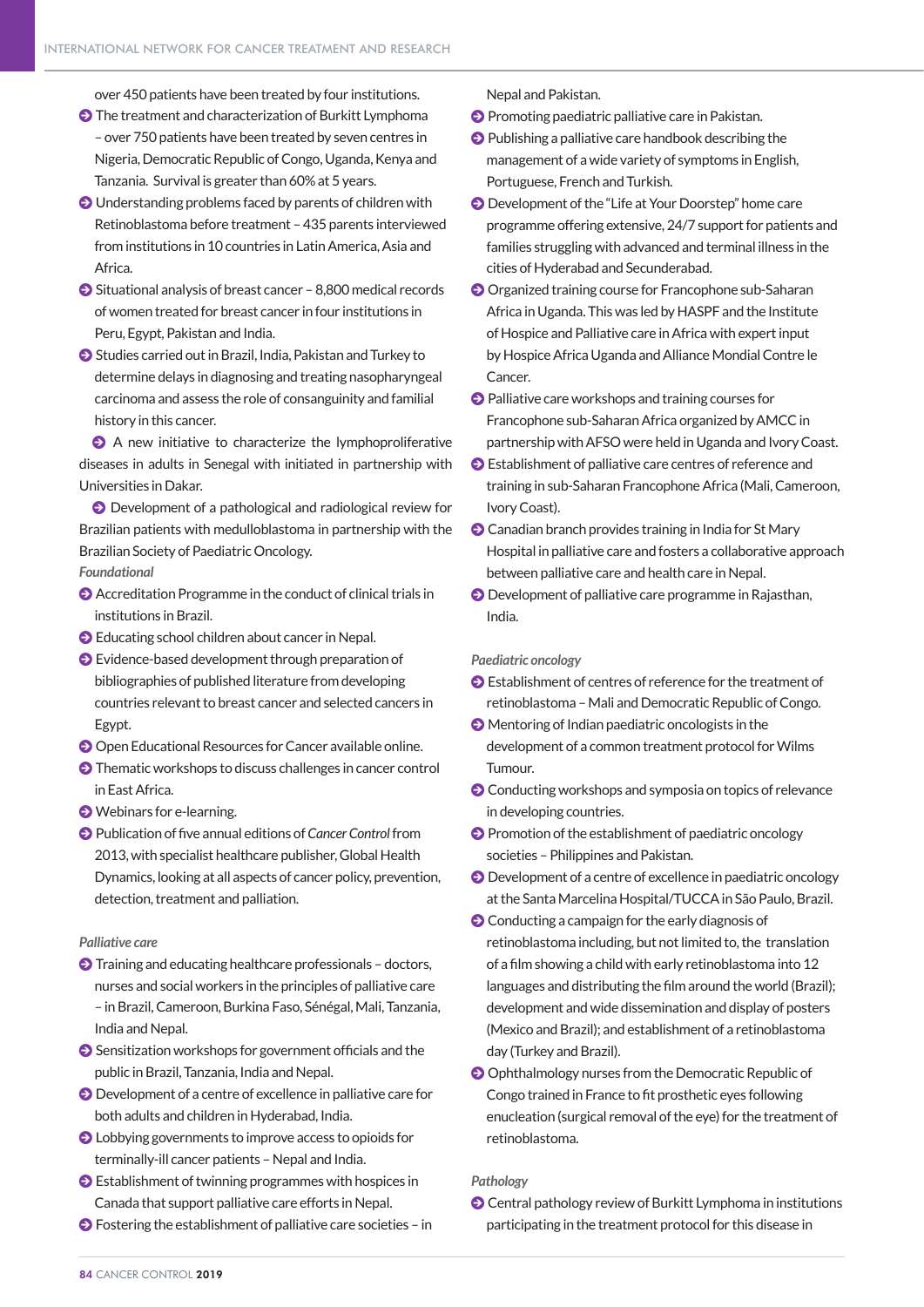over 450 patients have been treated by four institutions.

- $\bullet$  The treatment and characterization of Burkitt Lymphoma – over 750 patients have been treated by seven centres in Nigeria, Democratic Republic of Congo, Uganda, Kenya and Tanzania. Survival is greater than 60% at 5 years.
- $\odot$  Understanding problems faced by parents of children with Retinoblastoma before treatment – 435 parents interviewed from institutions in 10 countries in Latin America, Asia and Africa.
- $\bullet$  Situational analysis of breast cancer 8,800 medical records of women treated for breast cancer in four institutions in Peru, Egypt, Pakistan and India.
- J Studies carried out in Brazil, India, Pakistan and Turkey to determine delays in diagnosing and treating nasopharyngeal carcinoma and assess the role of consanguinity and familial history in this cancer.

 $\Theta$  A new initiative to characterize the lymphoproliferative diseases in adults in Senegal with initiated in partnership with Universities in Dakar.

J Development of a pathological and radiological review for Brazilian patients with medulloblastoma in partnership with the Brazilian Society of Paediatric Oncology.

*Foundational*

- $\odot$  Accreditation Programme in the conduct of clinical trials in institutions in Brazil.
- $\bullet$  Educating school children about cancer in Nepal.
- $\bullet$  Evidence-based development through preparation of bibliographies of published literature from developing countries relevant to breast cancer and selected cancers in Egypt.
- J Open Educational Resources for Cancer available online.
- $\bullet$  Thematic workshops to discuss challenges in cancer control in East Africa.
- $\bullet$  Webinars for e-learning.
- J Publication of five annual editions of *Cancer Control* from 2013, with specialist healthcare publisher, Global Health Dynamics, looking at all aspects of cancer policy, prevention, detection, treatment and palliation.

### *Palliative care*

- $\bigcirc$  Training and educating healthcare professionals doctors, nurses and social workers in the principles of palliative care – in Brazil, Cameroon, Burkina Faso, Sénégal, Mali, Tanzania, India and Nepal.
- $\bullet$  Sensitization workshops for government officials and the public in Brazil, Tanzania, India and Nepal.
- J Development of a centre of excellence in palliative care for both adults and children in Hyderabad, India.
- $\bullet$  Lobbying governments to improve access to opioids for terminally-ill cancer patients – Nepal and India.
- $\bullet$  Establishment of twinning programmes with hospices in Canada that support palliative care efforts in Nepal.
- $\bullet$  Fostering the establishment of palliative care societies in

Nepal and Pakistan.

**O** Promoting paediatric palliative care in Pakistan.

- $\bullet$  Publishing a palliative care handbook describing the management of a wide variety of symptoms in English, Portuguese, French and Turkish.
- $\bullet$  Development of the "Life at Your Doorstep" home care programme offering extensive, 24/7 support for patients and families struggling with advanced and terminal illness in the cities of Hyderabad and Secunderabad.
- **O** Organized training course for Francophone sub-Saharan Africa in Uganda. This was led by HASPF and the Institute of Hospice and Palliative care in Africa with expert input by Hospice Africa Uganda and Alliance Mondial Contre le Cancer.
- $\bigcirc$  Palliative care workshops and training courses for Francophone sub-Saharan Africa organized by AMCC in partnership with AFSO were held in Uganda and Ivory Coast.
- J Establishment of palliative care centres of reference and training in sub-Saharan Francophone Africa (Mali, Cameroon, Ivory Coast).
- J Canadian branch provides training in India for St Mary Hospital in palliative care and fosters a collaborative approach between palliative care and health care in Nepal.
- $\odot$  Development of palliative care programme in Rajasthan, India.

### *Paediatric oncology*

- $\bullet$  Establishment of centres of reference for the treatment of retinoblastoma – Mali and Democratic Republic of Congo.
- $\Theta$  Mentoring of Indian paediatric oncologists in the development of a common treatment protocol for Wilms Tumour.
- $\odot$  Conducting workshops and symposia on topics of relevance in developing countries.
- **O** Promotion of the establishment of paediatric oncology societies – Philippines and Pakistan.
- $\Theta$  Development of a centre of excellence in paediatric oncology at the Santa Marcelina Hospital/TUCCA in São Paulo, Brazil.
- $\bigcirc$  Conducting a campaign for the early diagnosis of retinoblastoma including, but not limited to, the translation of a film showing a child with early retinoblastoma into 12 languages and distributing the film around the world (Brazil); development and wide dissemination and display of posters (Mexico and Brazil); and establishment of a retinoblastoma day (Turkey and Brazil).
- J Ophthalmology nurses from the Democratic Republic of Congo trained in France to fit prosthetic eyes following enucleation (surgical removal of the eye) for the treatment of retinoblastoma.

### *Pathology*

 $\bullet$  Central pathology review of Burkitt Lymphoma in institutions participating in the treatment protocol for this disease in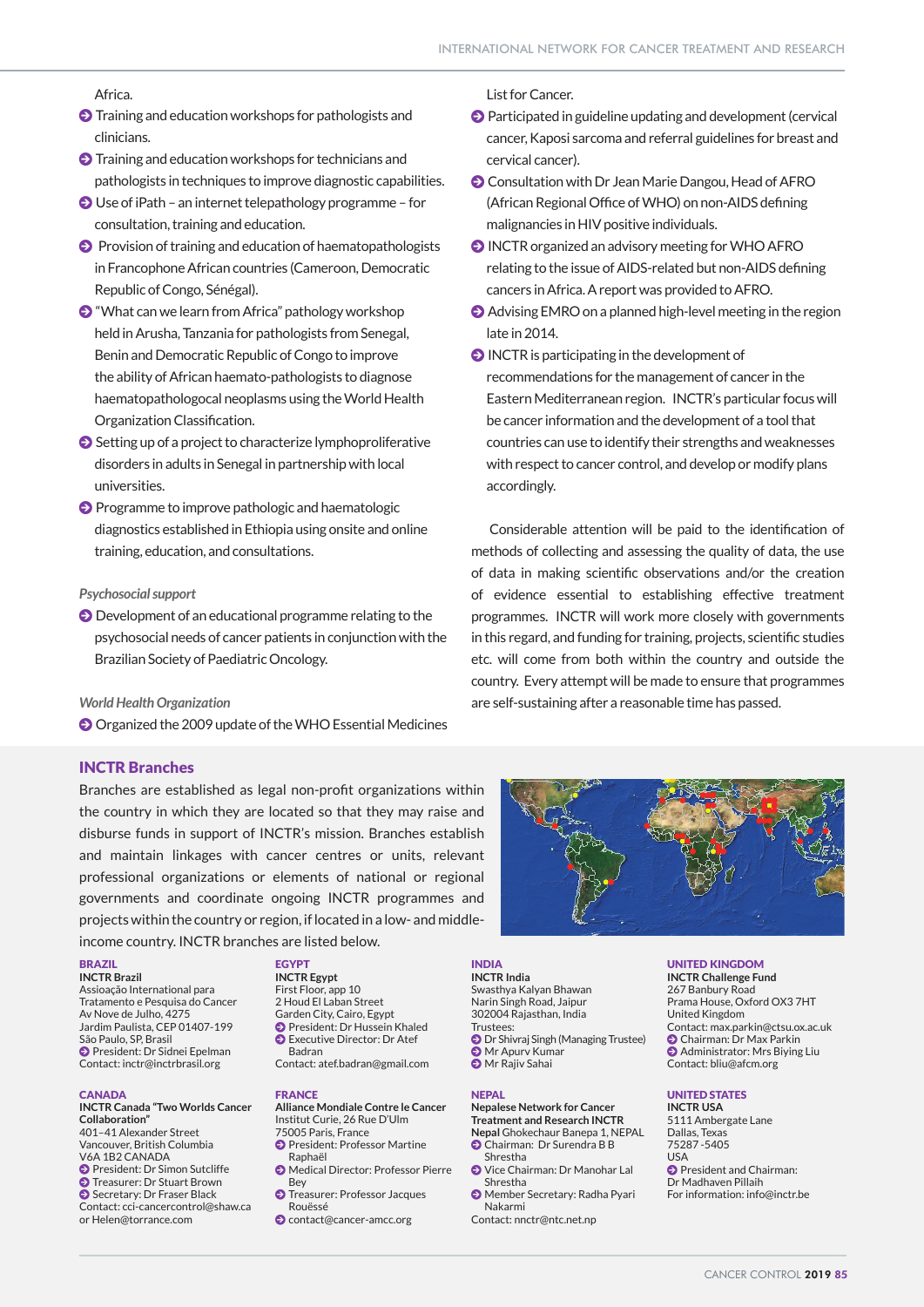### Africa.

- $\bullet$  Training and education workshops for pathologists and clinicians.
- $\bigcirc$  Training and education workshops for technicians and pathologists in techniques to improve diagnostic capabilities.
- $\bigcirc$  Use of iPath an internet telepathology programme for consultation, training and education.
- **O** Provision of training and education of haematopathologists in Francophone African countries (Cameroon, Democratic Republic of Congo, Sénégal).
- $\bullet$  "What can we learn from Africa" pathology workshop held in Arusha, Tanzania for pathologists from Senegal, Benin and Democratic Republic of Congo to improve the ability of African haemato-pathologists to diagnose haematopathologocal neoplasms using the World Health Organization Classification.
- $\bigodot$  Setting up of a project to characterize lymphoproliferative disorders in adults in Senegal in partnership with local universities.
- **O** Programme to improve pathologic and haematologic diagnostics established in Ethiopia using onsite and online training, education, and consultations.

### *Psychosocial support*

 $\bigcirc$  Development of an educational programme relating to the psychosocial needs of cancer patients in conjunction with the Brazilian Society of Paediatric Oncology.

*World Health Organization*

J Organized the 2009 update of the WHO Essential Medicines

### INCTR Branches

Branches are established as legal non-profit organizations within the country in which they are located so that they may raise and disburse funds in support of INCTR's mission. Branches establish and maintain linkages with cancer centres or units, relevant professional organizations or elements of national or regional governments and coordinate ongoing INCTR programmes and projects within the country or region, if located in a low- and middleincome country. INCTR branches are listed below.

### BRAZIL

**INCTR Brazil** Assioação International para Tratamento e Pesquisa do Cancer Av Nove de Julho, 4275 Jardim Paulista, CEP 01407-199 São Paulo, SP, Brasil J President: Dr Sidnei Epelman Contact: inctr@inctrbrasil.org

### **CANADA**

**INCTR Canada "Two Worlds Cancer Collaboration"** 401–41 Alexander Street Vancouver, British Columbia V6A 1B2 CANADA **O** President: Dr Simon Sutcliffe **O** Treasurer: Dr Stuart Brown Secretary: Dr Fraser Black Contact: cci-cancercontrol@shaw.ca or Helen@torrance.com

### **EGYPT**

**INCTR Egypt** First Floor, app 10 2 Houd El Laban Street Garden City, Cairo, Egypt J President: Dr Hussein Khaled J Executive Director: Dr Atef Badran Contact: atef.badran@gmail.com

### FRANCE

**Alliance Mondiale Contre le Cancer** Institut Curie, 26 Rue D'Ulm 75005 Paris, France **O** President: Professor Martine

- Raphaël J Medical Director: Professor Pierre
- Bey **O** Treasurer: Professor Jacques
- Rouëssé
- J contact@cancer-amcc.org

### List for Cancer.

- $\odot$  Participated in guideline updating and development (cervical cancer, Kaposi sarcoma and referral guidelines for breast and cervical cancer).
- **O** Consultation with Dr Jean Marie Dangou, Head of AFRO (African Regional Office of WHO) on non-AIDS defining malignancies in HIV positive individuals.
- $\odot$  INCTR organized an advisory meeting for WHO AFRO relating to the issue of AIDS-related but non-AIDS defining cancers in Africa. A report was provided to AFRO.
- $\odot$  Advising EMRO on a planned high-level meeting in the region late in 2014.
- $\bigcirc$  INCTR is participating in the development of recommendations for the management of cancer in the Eastern Mediterranean region. INCTR's particular focus will be cancer information and the development of a tool that countries can use to identify their strengths and weaknesses with respect to cancer control, and develop or modify plans accordingly.

 Considerable attention will be paid to the identification of methods of collecting and assessing the quality of data, the use of data in making scientific observations and/or the creation of evidence essential to establishing effective treatment programmes. INCTR will work more closely with governments in this regard, and funding for training, projects, scientific studies etc. will come from both within the country and outside the country. Every attempt will be made to ensure that programmes are self-sustaining after a reasonable time has passed.



INDIA **INCTR India** Narin Singh Road, Jaipur 302004 Rajasthan, India Trustees: **D** Dr Shivraj Singh (Managing Trustee) **S** Mr Apury Kumar **O** Mr Rajiv Sahai

### NEPAL

**Nepalese Network for Cancer Treatment and Research INCTR Nepal** Ghokechaur Banepa 1, NEPAL

- Chairman: Dr Surendra B B Shrestha
- J Vice Chairman: Dr Manohar Lal Shrestha
- J Member Secretary: Radha Pyari Nakarmi
- Contact: nnctr@ntc.net.np

### UNITED KINGDOM

**Offices and Branches Collaborating Units**  Swasthya Kalyan Bhawan **INCTR Challenge Fund** 267 Banbury Road Prama House, Oxford OX3 7HT United Kingdom Contact: max.parkin@ctsu.ox.ac.uk **O** Chairman: Dr Max Parkin  $\bullet$  Administrator: Mrs Biving Liu Contact: bliu@afcm.org

### UNITED STATES

**INCTR USA** 5111 Ambergate Lane Dallas, Texas 75287 -5405 USA **O** President and Chairman: Dr Madhaven Pillaih For information: info@inctr.be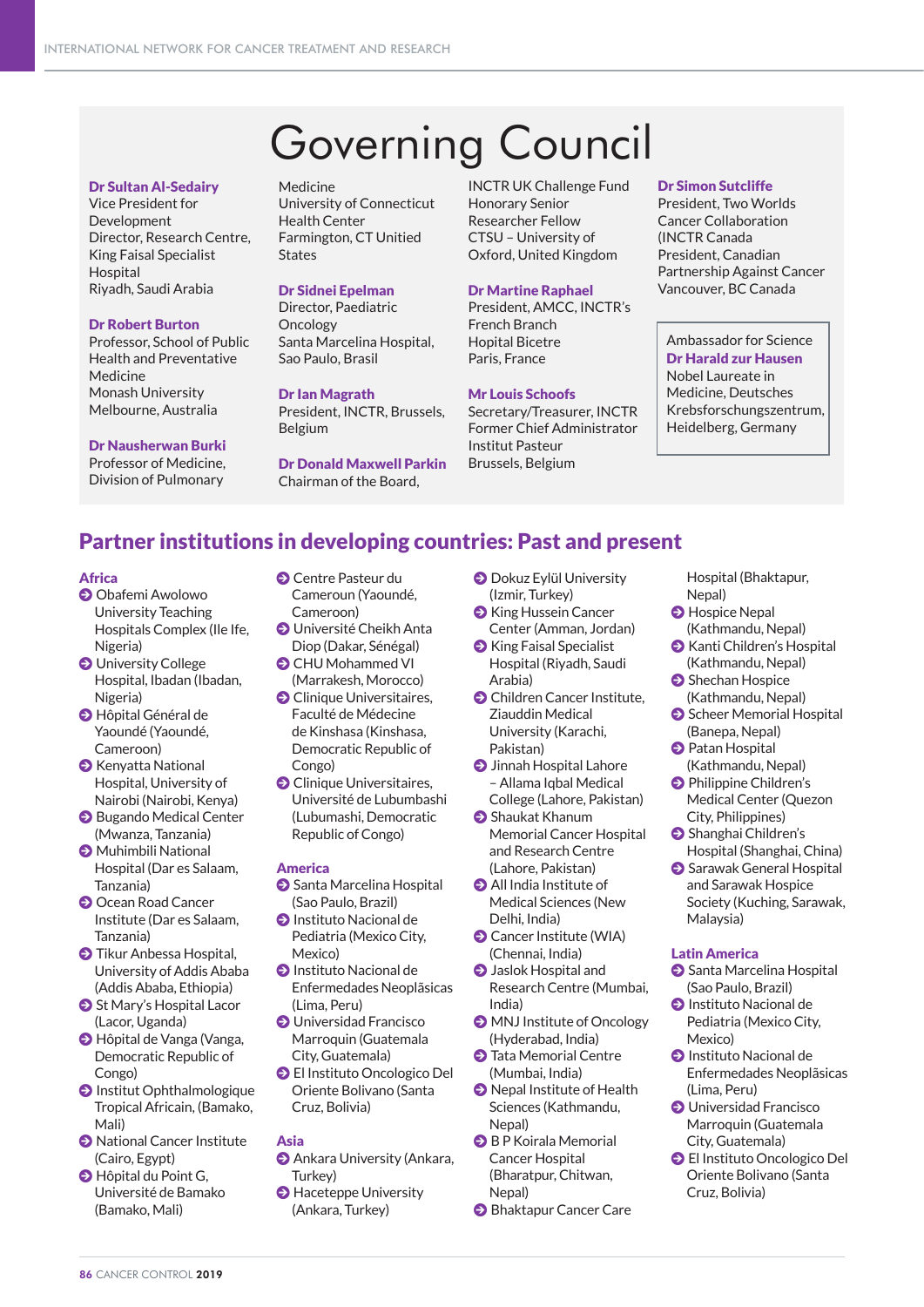# Governing Council

### Dr Sultan Al-Sedairy

Vice President for Development Director, Research Centre, King Faisal Specialist Hospital Riyadh, Saudi Arabia

### Dr Robert Burton

Professor, School of Public Health and Preventative Medicine Monash University Melbourne, Australia

### Dr Nausherwan Burki

Professor of Medicine, Division of Pulmonary

Medicine University of Connecticut Health Center Farmington, CT Unitied **States** 

### Dr Sidnei Epelman

Director, Paediatric **Oncology** Santa Marcelina Hospital, Sao Paulo, Brasil

### Dr Ian Magrath

President, INCTR, Brussels, Belgium

Dr Donald Maxwell Parkin Chairman of the Board,

INCTR UK Challenge Fund Honorary Senior Researcher Fellow CTSU – University of Oxford, United Kingdom

### Dr Martine Raphael

President, AMCC, INCTR's French Branch Hopital Bicetre Paris, France

### Mr Louis Schoofs

Secretary/Treasurer, INCTR Former Chief Administrator Institut Pasteur Brussels, Belgium

### Dr Simon Sutcliffe

President, Two Worlds Cancer Collaboration (INCTR Canada President, Canadian Partnership Against Cancer Vancouver, BC Canada

Ambassador for Science Dr Harald zur Hausen Nobel Laureate in Medicine, Deutsches Krebsforschungszentrum, Heidelberg, Germany

## Partner institutions in developing countries: Past and present

### Africa

- **O** Obafemi Awolowo University Teaching Hospitals Complex (Ile Ife, Nigeria)
- **J** University College Hospital, Ibadan (Ibadan, Nigeria)
- **O** Hôpital Général de Yaoundé (Yaoundé, Cameroon)
- J Kenyatta National Hospital, University of Nairobi (Nairobi, Kenya)
- **O** Bugando Medical Center (Mwanza, Tanzania)
- J Muhimbili National Hospital (Dar es Salaam, Tanzania)
- **O** Ocean Road Cancer Institute (Dar es Salaam, Tanzania)
- **O** Tikur Anbessa Hospital, University of Addis Ababa (Addis Ababa, Ethiopia)
- **St Mary's Hospital Lacor** (Lacor, Uganda)
- $\bigcirc$  Hôpital de Vanga (Vanga, Democratic Republic of Congo)
- **O** Institut Ophthalmologique Tropical Africain, (Bamako, Mali)
- **O** National Cancer Institute (Cairo, Egypt)  $\bullet$  Hôpital du Point G,
- Université de Bamako (Bamako, Mali)
- **O** Centre Pasteur du Cameroun (Yaoundé, Cameroon)
- **O** Université Cheikh Anta Diop (Dakar, Sénégal)
- **O** CHU Mohammed VI (Marrakesh, Morocco)
- **O** Clinique Universitaires, Faculté de Médecine de Kinshasa (Kinshasa, Democratic Republic of Congo)
- **O** Clinique Universitaires, Université de Lubumbashi (Lubumashi, Democratic Republic of Congo)

### America

- **O** Santa Marcelina Hospital (Sao Paulo, Brazil)
- **O** Instituto Nacional de Pediatria (Mexico City, Mexico)
- **O** Instituto Nacional de Enfermedades Neoplãsicas (Lima, Peru)
- **O** Universidad Francisco Marroquin (Guatemala City, Guatemala)
- J El Instituto Oncologico Del Oriente Bolivano (Santa Cruz, Bolivia)

### Asia

- **O** Ankara University (Ankara, Turkey)
- **Haceteppe University** (Ankara, Turkey)
- **O** Dokuz Eylül University (Izmir, Turkey)
- J King Hussein Cancer Center (Amman, Jordan)
- **O** King Faisal Specialist Hospital (Riyadh, Saudi Arabia)
- **O** Children Cancer Institute, Ziauddin Medical University (Karachi, Pakistan)
- **O** Jinnah Hospital Lahore – Allama Iqbal Medical College (Lahore, Pakistan)
- **Shaukat Khanum** Memorial Cancer Hospital and Research Centre (Lahore, Pakistan)
- $\bigcirc$  All India Institute of Medical Sciences (New Delhi, India)
- **O** Cancer Institute (WIA) (Chennai, India)
- **O** Jaslok Hospital and Research Centre (Mumbai, India)
- $\bigcirc$  MNJ Institute of Oncology (Hyderabad, India)
- **D** Tata Memorial Centre (Mumbai, India)
- **O** Nepal Institute of Health Sciences (Kathmandu, Nepal)
- **O** B P Koirala Memorial Cancer Hospital (Bharatpur, Chitwan, Nepal)
- **Bhaktapur Cancer Care**

Hospital (Bhaktapur, Nepal)

- **O** Hospice Nepal (Kathmandu, Nepal)
- J Kanti Children's Hospital (Kathmandu, Nepal)
- **O** Shechan Hospice (Kathmandu, Nepal)
- Scheer Memorial Hospital (Banepa, Nepal)
- **O** Patan Hospital (Kathmandu, Nepal)
- **O** Philippine Children's Medical Center (Quezon City, Philippines)
- Shanghai Children's Hospital (Shanghai, China)
- **Sarawak General Hospital** and Sarawak Hospice Society (Kuching, Sarawak, Malaysia)

### Latin America

- Santa Marcelina Hospital (Sao Paulo, Brazil)
- **O** Instituto Nacional de Pediatria (Mexico City, Mexico)
- **O** Instituto Nacional de Enfermedades Neoplãsicas (Lima, Peru)
- **O** Universidad Francisco Marroquin (Guatemala City, Guatemala)
- J El Instituto Oncologico Del Oriente Bolivano (Santa Cruz, Bolivia)